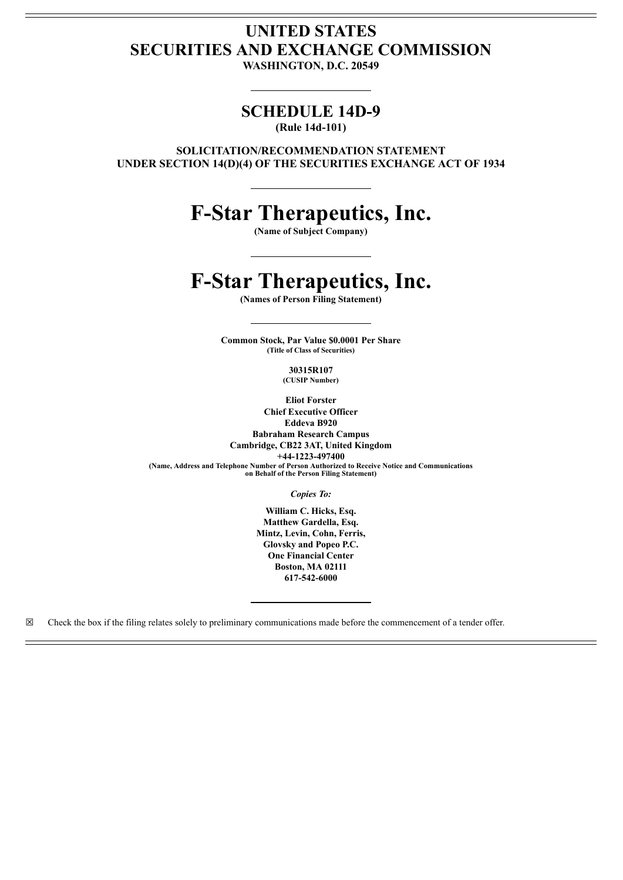## **UNITED STATES SECURITIES AND EXCHANGE COMMISSION**

**WASHINGTON, D.C. 20549**

### **SCHEDULE 14D-9 (Rule 14d-101)**

**SOLICITATION/RECOMMENDATION STATEMENT UNDER SECTION 14(D)(4) OF THE SECURITIES EXCHANGE ACT OF 1934**

## **F-Star Therapeutics, Inc.**

**(Name of Subject Company)**

# **F-Star Therapeutics, Inc.**

**(Names of Person Filing Statement)**

**Common Stock, Par Value \$0.0001 Per Share (Title of Class of Securities)**

> **30315R107 (CUSIP Number)**

**Eliot Forster Chief Executive Officer Eddeva B920 Babraham Research Campus Cambridge, CB22 3AT, United Kingdom +44-1223-497400 (Name, Address and Telephone Number of Person Authorized to Receive Notice and Communications on Behalf of the Person Filing Statement)**

*Copies To:*

**William C. Hicks, Esq. Matthew Gardella, Esq. Mintz, Levin, Cohn, Ferris, Glovsky and Popeo P.C. One Financial Center Boston, MA 02111 617-542-6000**

 $\boxtimes$  Check the box if the filing relates solely to preliminary communications made before the commencement of a tender offer.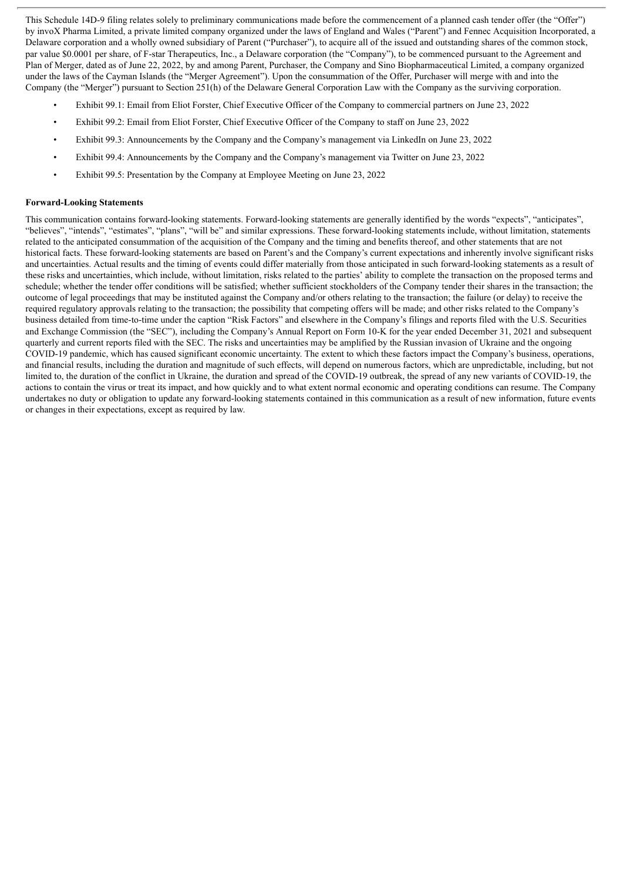This Schedule 14D-9 filing relates solely to preliminary communications made before the commencement of a planned cash tender offer (the "Offer") by invoX Pharma Limited, a private limited company organized under the laws of England and Wales ("Parent") and Fennec Acquisition Incorporated, a Delaware corporation and a wholly owned subsidiary of Parent ("Purchaser"), to acquire all of the issued and outstanding shares of the common stock, par value \$0.0001 per share, of F-star Therapeutics, Inc., a Delaware corporation (the "Company"), to be commenced pursuant to the Agreement and Plan of Merger, dated as of June 22, 2022, by and among Parent, Purchaser, the Company and Sino Biopharmaceutical Limited, a company organized under the laws of the Cayman Islands (the "Merger Agreement"). Upon the consummation of the Offer, Purchaser will merge with and into the Company (the "Merger") pursuant to Section 251(h) of the Delaware General Corporation Law with the Company as the surviving corporation.

- Exhibit 99.1: Email from Eliot Forster, Chief Executive Officer of the Company to commercial partners on June 23, 2022
- Exhibit 99.2: Email from Eliot Forster, Chief Executive Officer of the Company to staff on June 23, 2022
- Exhibit 99.3: Announcements by the Company and the Company's management via LinkedIn on June 23, 2022
- Exhibit 99.4: Announcements by the Company and the Company's management via Twitter on June 23, 2022
- Exhibit 99.5: Presentation by the Company at Employee Meeting on June 23, 2022

#### **Forward-Looking Statements**

This communication contains forward-looking statements. Forward-looking statements are generally identified by the words "expects", "anticipates", "believes", "intends", "estimates", "plans", "will be" and similar expressions. These forward-looking statements include, without limitation, statements related to the anticipated consummation of the acquisition of the Company and the timing and benefits thereof, and other statements that are not historical facts. These forward-looking statements are based on Parent's and the Company's current expectations and inherently involve significant risks and uncertainties. Actual results and the timing of events could differ materially from those anticipated in such forward-looking statements as a result of these risks and uncertainties, which include, without limitation, risks related to the parties' ability to complete the transaction on the proposed terms and schedule; whether the tender offer conditions will be satisfied; whether sufficient stockholders of the Company tender their shares in the transaction; the outcome of legal proceedings that may be instituted against the Company and/or others relating to the transaction; the failure (or delay) to receive the required regulatory approvals relating to the transaction; the possibility that competing offers will be made; and other risks related to the Company's business detailed from time-to-time under the caption "Risk Factors" and elsewhere in the Company's filings and reports filed with the U.S. Securities and Exchange Commission (the "SEC"), including the Company's Annual Report on Form 10-K for the year ended December 31, 2021 and subsequent quarterly and current reports filed with the SEC. The risks and uncertainties may be amplified by the Russian invasion of Ukraine and the ongoing COVID-19 pandemic, which has caused significant economic uncertainty. The extent to which these factors impact the Company's business, operations, and financial results, including the duration and magnitude of such effects, will depend on numerous factors, which are unpredictable, including, but not limited to, the duration of the conflict in Ukraine, the duration and spread of the COVID-19 outbreak, the spread of any new variants of COVID-19, the actions to contain the virus or treat its impact, and how quickly and to what extent normal economic and operating conditions can resume. The Company undertakes no duty or obligation to update any forward-looking statements contained in this communication as a result of new information, future events or changes in their expectations, except as required by law.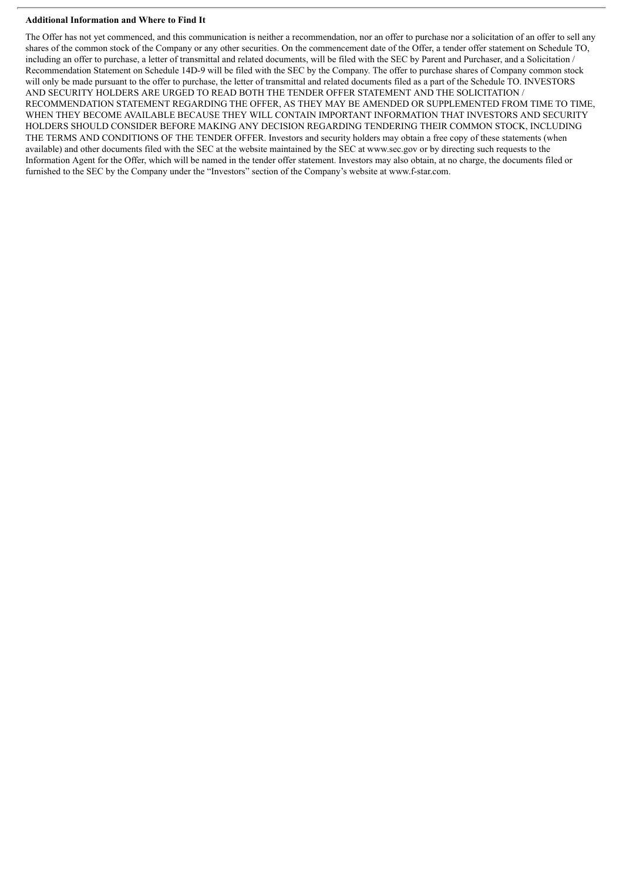#### **Additional Information and Where to Find It**

The Offer has not yet commenced, and this communication is neither a recommendation, nor an offer to purchase nor a solicitation of an offer to sell any shares of the common stock of the Company or any other securities. On the commencement date of the Offer, a tender offer statement on Schedule TO, including an offer to purchase, a letter of transmittal and related documents, will be filed with the SEC by Parent and Purchaser, and a Solicitation / Recommendation Statement on Schedule 14D-9 will be filed with the SEC by the Company. The offer to purchase shares of Company common stock will only be made pursuant to the offer to purchase, the letter of transmittal and related documents filed as a part of the Schedule TO. INVESTORS AND SECURITY HOLDERS ARE URGED TO READ BOTH THE TENDER OFFER STATEMENT AND THE SOLICITATION / RECOMMENDATION STATEMENT REGARDING THE OFFER, AS THEY MAY BE AMENDED OR SUPPLEMENTED FROM TIME TO TIME, WHEN THEY BECOME AVAILABLE BECAUSE THEY WILL CONTAIN IMPORTANT INFORMATION THAT INVESTORS AND SECURITY HOLDERS SHOULD CONSIDER BEFORE MAKING ANY DECISION REGARDING TENDERING THEIR COMMON STOCK, INCLUDING THE TERMS AND CONDITIONS OF THE TENDER OFFER. Investors and security holders may obtain a free copy of these statements (when available) and other documents filed with the SEC at the website maintained by the SEC at www.sec.gov or by directing such requests to the Information Agent for the Offer, which will be named in the tender offer statement. Investors may also obtain, at no charge, the documents filed or furnished to the SEC by the Company under the "Investors" section of the Company's website at www.f-star.com.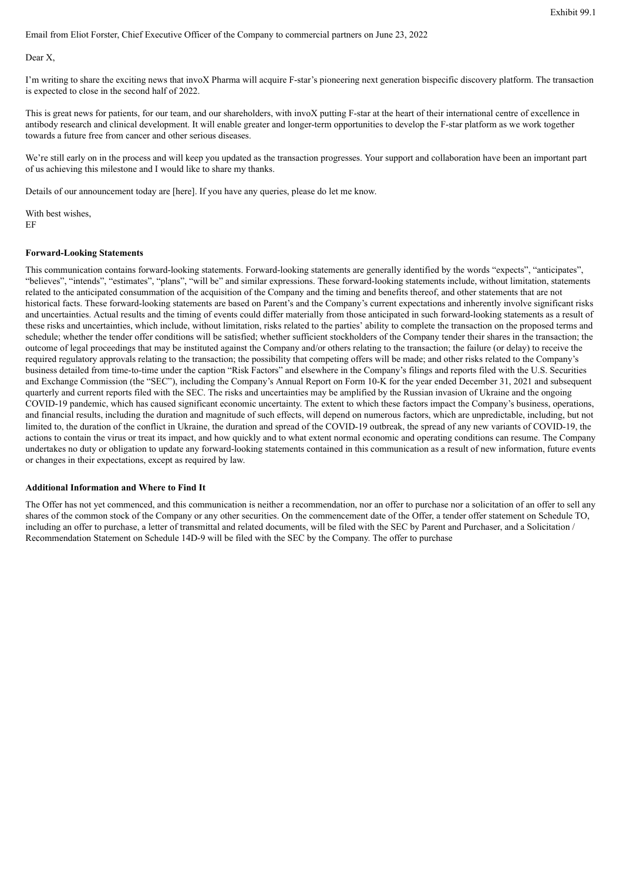Email from Eliot Forster, Chief Executive Officer of the Company to commercial partners on June 23, 2022

#### Dear X,

I'm writing to share the exciting news that invoX Pharma will acquire F-star's pioneering next generation bispecific discovery platform. The transaction is expected to close in the second half of 2022.

This is great news for patients, for our team, and our shareholders, with invoX putting F-star at the heart of their international centre of excellence in antibody research and clinical development. It will enable greater and longer-term opportunities to develop the F-star platform as we work together towards a future free from cancer and other serious diseases.

We're still early on in the process and will keep you updated as the transaction progresses. Your support and collaboration have been an important part of us achieving this milestone and I would like to share my thanks.

Details of our announcement today are [here]. If you have any queries, please do let me know.

With best wishes, EF

#### **Forward-Looking Statements**

This communication contains forward-looking statements. Forward-looking statements are generally identified by the words "expects", "anticipates", "believes", "intends", "estimates", "plans", "will be" and similar expressions. These forward-looking statements include, without limitation, statements related to the anticipated consummation of the acquisition of the Company and the timing and benefits thereof, and other statements that are not historical facts. These forward-looking statements are based on Parent's and the Company's current expectations and inherently involve significant risks and uncertainties. Actual results and the timing of events could differ materially from those anticipated in such forward-looking statements as a result of these risks and uncertainties, which include, without limitation, risks related to the parties' ability to complete the transaction on the proposed terms and schedule; whether the tender offer conditions will be satisfied; whether sufficient stockholders of the Company tender their shares in the transaction; the outcome of legal proceedings that may be instituted against the Company and/or others relating to the transaction; the failure (or delay) to receive the required regulatory approvals relating to the transaction; the possibility that competing offers will be made; and other risks related to the Company's business detailed from time-to-time under the caption "Risk Factors" and elsewhere in the Company's filings and reports filed with the U.S. Securities and Exchange Commission (the "SEC"), including the Company's Annual Report on Form 10-K for the year ended December 31, 2021 and subsequent quarterly and current reports filed with the SEC. The risks and uncertainties may be amplified by the Russian invasion of Ukraine and the ongoing COVID-19 pandemic, which has caused significant economic uncertainty. The extent to which these factors impact the Company's business, operations, and financial results, including the duration and magnitude of such effects, will depend on numerous factors, which are unpredictable, including, but not limited to, the duration of the conflict in Ukraine, the duration and spread of the COVID-19 outbreak, the spread of any new variants of COVID-19, the actions to contain the virus or treat its impact, and how quickly and to what extent normal economic and operating conditions can resume. The Company undertakes no duty or obligation to update any forward-looking statements contained in this communication as a result of new information, future events or changes in their expectations, except as required by law.

#### **Additional Information and Where to Find It**

The Offer has not yet commenced, and this communication is neither a recommendation, nor an offer to purchase nor a solicitation of an offer to sell any shares of the common stock of the Company or any other securities. On the commencement date of the Offer, a tender offer statement on Schedule TO, including an offer to purchase, a letter of transmittal and related documents, will be filed with the SEC by Parent and Purchaser, and a Solicitation / Recommendation Statement on Schedule 14D-9 will be filed with the SEC by the Company. The offer to purchase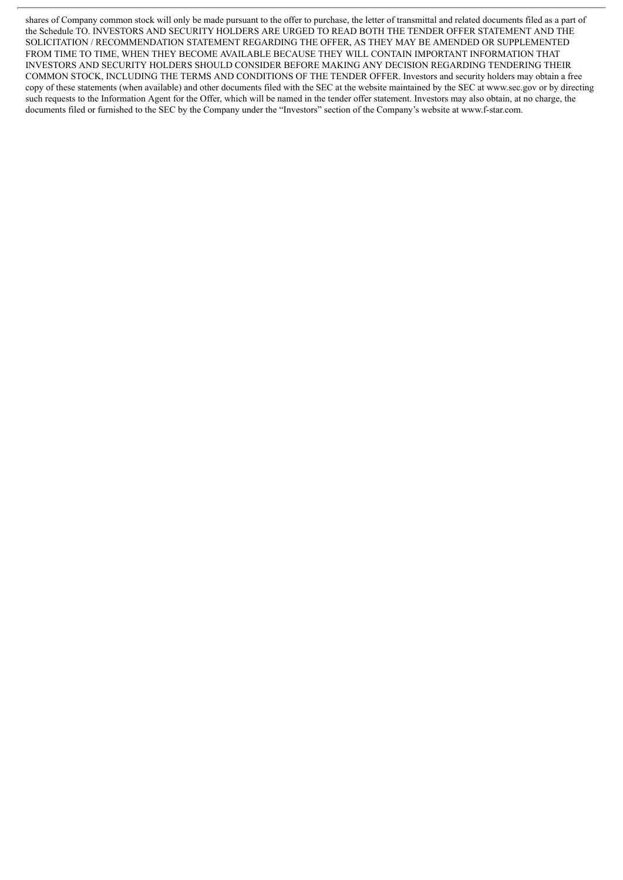shares of Company common stock will only be made pursuant to the offer to purchase, the letter of transmittal and related documents filed as a part of the Schedule TO. INVESTORS AND SECURITY HOLDERS ARE URGED TO READ BOTH THE TENDER OFFER STATEMENT AND THE SOLICITATION / RECOMMENDATION STATEMENT REGARDING THE OFFER, AS THEY MAY BE AMENDED OR SUPPLEMENTED FROM TIME TO TIME, WHEN THEY BECOME AVAILABLE BECAUSE THEY WILL CONTAIN IMPORTANT INFORMATION THAT INVESTORS AND SECURITY HOLDERS SHOULD CONSIDER BEFORE MAKING ANY DECISION REGARDING TENDERING THEIR COMMON STOCK, INCLUDING THE TERMS AND CONDITIONS OF THE TENDER OFFER. Investors and security holders may obtain a free copy of these statements (when available) and other documents filed with the SEC at the website maintained by the SEC at www.sec.gov or by directing such requests to the Information Agent for the Offer, which will be named in the tender offer statement. Investors may also obtain, at no charge, the documents filed or furnished to the SEC by the Company under the "Investors" section of the Company's website at www.f-star.com.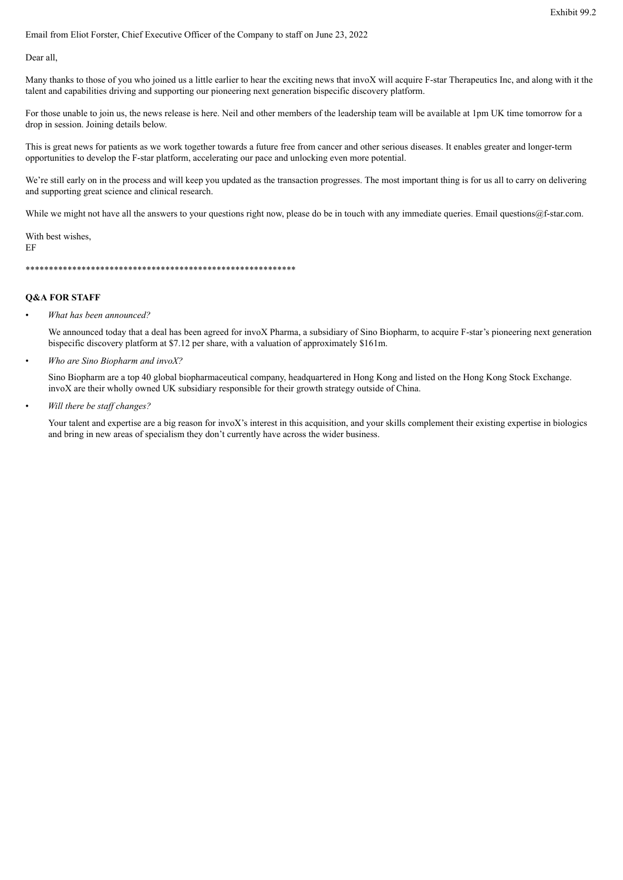Email from Eliot Forster, Chief Executive Officer of the Company to staff on June 23, 2022

#### Dear all,

Many thanks to those of you who joined us a little earlier to hear the exciting news that invoX will acquire F-star Therapeutics Inc, and along with it the talent and capabilities driving and supporting our pioneering next generation bispecific discovery platform.

For those unable to join us, the news release is here. Neil and other members of the leadership team will be available at 1pm UK time tomorrow for a drop in session. Joining details below.

This is great news for patients as we work together towards a future free from cancer and other serious diseases. It enables greater and longer-term opportunities to develop the F-star platform, accelerating our pace and unlocking even more potential.

We're still early on in the process and will keep you updated as the transaction progresses. The most important thing is for us all to carry on delivering and supporting great science and clinical research.

While we might not have all the answers to your questions right now, please do be in touch with any immediate queries. Email questions  $@f$ -star.com.

With best wishes, EF

\*\*\*\*\*\*\*\*\*\*\*\*\*\*\*\*\*\*\*\*\*\*\*\*\*\*\*\*\*\*\*\*\*\*\*\*\*\*\*\*\*\*\*\*\*\*\*\*\*\*\*\*\*\*\*\*\*\*

#### **Q&A FOR STAFF**

• *What has been announced?*

We announced today that a deal has been agreed for invoX Pharma, a subsidiary of Sino Biopharm, to acquire F-star's pioneering next generation bispecific discovery platform at \$7.12 per share, with a valuation of approximately \$161m.

• *Who are Sino Biopharm and invoX?*

Sino Biopharm are a top 40 global biopharmaceutical company, headquartered in Hong Kong and listed on the Hong Kong Stock Exchange. invoX are their wholly owned UK subsidiary responsible for their growth strategy outside of China.

• *Will there be staf changes?*

Your talent and expertise are a big reason for invoX's interest in this acquisition, and your skills complement their existing expertise in biologics and bring in new areas of specialism they don't currently have across the wider business.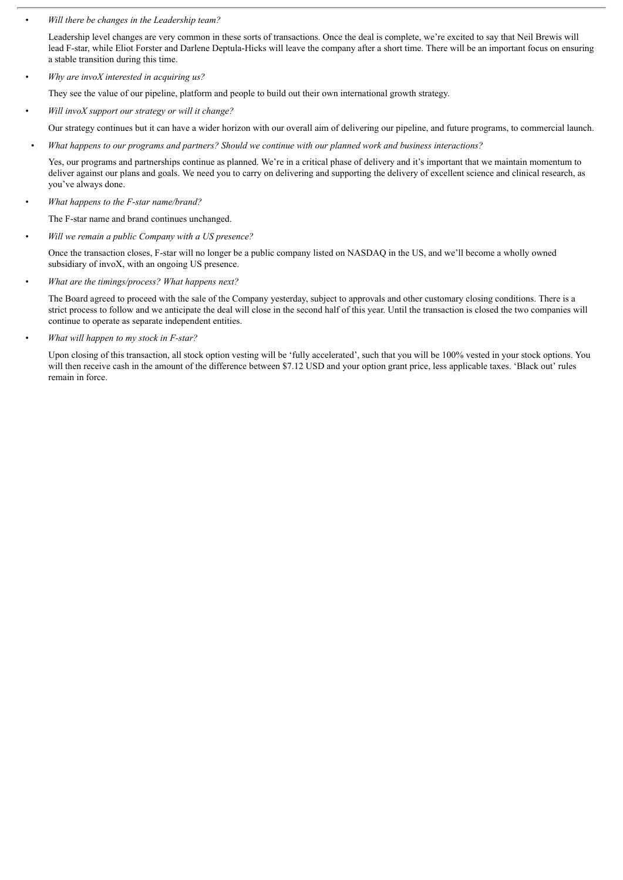#### • *Will there be changes in the Leadership team?*

Leadership level changes are very common in these sorts of transactions. Once the deal is complete, we're excited to say that Neil Brewis will lead F-star, while Eliot Forster and Darlene Deptula-Hicks will leave the company after a short time. There will be an important focus on ensuring a stable transition during this time.

• *Why are invoX interested in acquiring us?*

They see the value of our pipeline, platform and people to build out their own international growth strategy.

• *Will invoX support our strategy or will it change?*

Our strategy continues but it can have a wider horizon with our overall aim of delivering our pipeline, and future programs, to commercial launch.

• What happens to our programs and partners? Should we continue with our planned work and business interactions?

Yes, our programs and partnerships continue as planned. We're in a critical phase of delivery and it's important that we maintain momentum to deliver against our plans and goals. We need you to carry on delivering and supporting the delivery of excellent science and clinical research, as you've always done.

• *What happens to the F-star name/brand?*

The F-star name and brand continues unchanged.

• *Will we remain a public Company with a US presence?*

Once the transaction closes, F-star will no longer be a public company listed on NASDAQ in the US, and we'll become a wholly owned subsidiary of invoX, with an ongoing US presence.

• *What are the timings/process? What happens next?*

The Board agreed to proceed with the sale of the Company yesterday, subject to approvals and other customary closing conditions. There is a strict process to follow and we anticipate the deal will close in the second half of this year. Until the transaction is closed the two companies will continue to operate as separate independent entities.

• *What will happen to my stock in F-star?*

Upon closing of this transaction, all stock option vesting will be 'fully accelerated', such that you will be 100% vested in your stock options. You will then receive cash in the amount of the difference between \$7.12 USD and your option grant price, less applicable taxes. 'Black out' rules remain in force.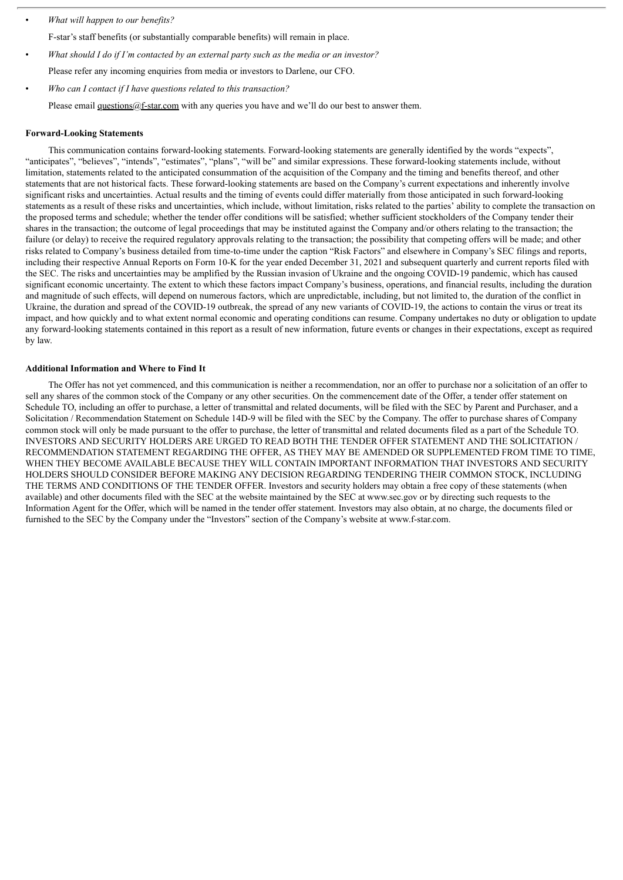- *What will happen to our benefits?* F-star's staff benefits (or substantially comparable benefits) will remain in place.
- *What should I do if I'm contacted by an external party such as the media or an investor?* Please refer any incoming enquiries from media or investors to Darlene, our CFO.
- *Who can I contact if I have questions related to this transaction?*

Please email questions $@f$ -star.com with any queries you have and we'll do our best to answer them.

#### **Forward-Looking Statements**

This communication contains forward-looking statements. Forward-looking statements are generally identified by the words "expects", "anticipates", "believes", "intends", "estimates", "plans", "will be" and similar expressions. These forward-looking statements include, without limitation, statements related to the anticipated consummation of the acquisition of the Company and the timing and benefits thereof, and other statements that are not historical facts. These forward-looking statements are based on the Company's current expectations and inherently involve significant risks and uncertainties. Actual results and the timing of events could differ materially from those anticipated in such forward-looking statements as a result of these risks and uncertainties, which include, without limitation, risks related to the parties' ability to complete the transaction on the proposed terms and schedule; whether the tender offer conditions will be satisfied; whether sufficient stockholders of the Company tender their shares in the transaction; the outcome of legal proceedings that may be instituted against the Company and/or others relating to the transaction; the failure (or delay) to receive the required regulatory approvals relating to the transaction; the possibility that competing offers will be made; and other risks related to Company's business detailed from time-to-time under the caption "Risk Factors" and elsewhere in Company's SEC filings and reports, including their respective Annual Reports on Form 10-K for the year ended December 31, 2021 and subsequent quarterly and current reports filed with the SEC. The risks and uncertainties may be amplified by the Russian invasion of Ukraine and the ongoing COVID-19 pandemic, which has caused significant economic uncertainty. The extent to which these factors impact Company's business, operations, and financial results, including the duration and magnitude of such effects, will depend on numerous factors, which are unpredictable, including, but not limited to, the duration of the conflict in Ukraine, the duration and spread of the COVID-19 outbreak, the spread of any new variants of COVID-19, the actions to contain the virus or treat its impact, and how quickly and to what extent normal economic and operating conditions can resume. Company undertakes no duty or obligation to update any forward-looking statements contained in this report as a result of new information, future events or changes in their expectations, except as required by law.

#### **Additional Information and Where to Find It**

The Offer has not yet commenced, and this communication is neither a recommendation, nor an offer to purchase nor a solicitation of an offer to sell any shares of the common stock of the Company or any other securities. On the commencement date of the Offer, a tender offer statement on Schedule TO, including an offer to purchase, a letter of transmittal and related documents, will be filed with the SEC by Parent and Purchaser, and a Solicitation / Recommendation Statement on Schedule 14D-9 will be filed with the SEC by the Company. The offer to purchase shares of Company common stock will only be made pursuant to the offer to purchase, the letter of transmittal and related documents filed as a part of the Schedule TO. INVESTORS AND SECURITY HOLDERS ARE URGED TO READ BOTH THE TENDER OFFER STATEMENT AND THE SOLICITATION / RECOMMENDATION STATEMENT REGARDING THE OFFER, AS THEY MAY BE AMENDED OR SUPPLEMENTED FROM TIME TO TIME, WHEN THEY BECOME AVAILABLE BECAUSE THEY WILL CONTAIN IMPORTANT INFORMATION THAT INVESTORS AND SECURITY HOLDERS SHOULD CONSIDER BEFORE MAKING ANY DECISION REGARDING TENDERING THEIR COMMON STOCK, INCLUDING THE TERMS AND CONDITIONS OF THE TENDER OFFER. Investors and security holders may obtain a free copy of these statements (when available) and other documents filed with the SEC at the website maintained by the SEC at www.sec.gov or by directing such requests to the Information Agent for the Offer, which will be named in the tender offer statement. Investors may also obtain, at no charge, the documents filed or furnished to the SEC by the Company under the "Investors" section of the Company's website at www.f-star.com.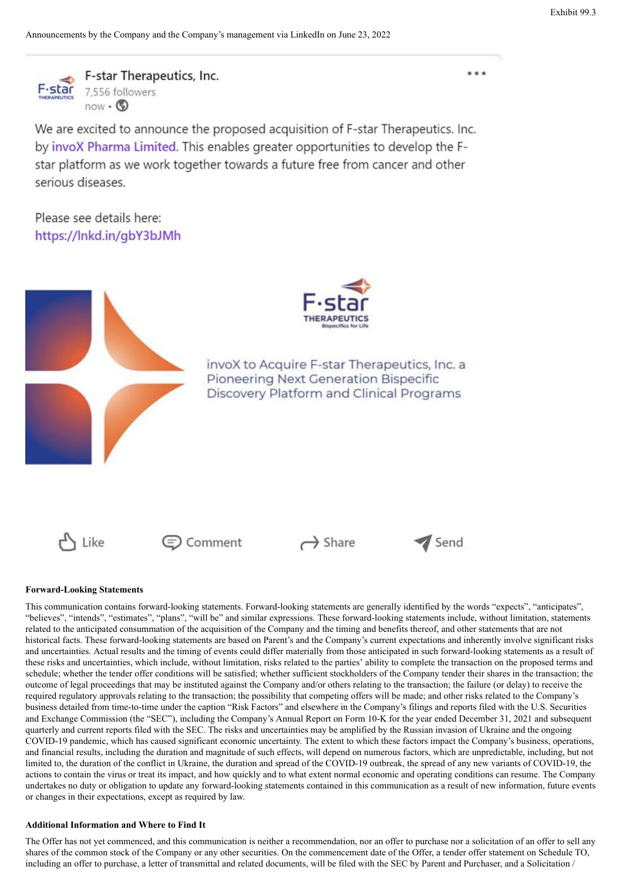Announcements by the Company and the Company's management via LinkedIn on June 23, 2022



F-star Therapeutics, Inc. 7,556 followers  $now \cdot C$ 

We are excited to announce the proposed acquisition of F-star Therapeutics. Inc. by invoX Pharma Limited. This enables greater opportunities to develop the Fstar platform as we work together towards a future free from cancer and other serious diseases.

Please see details here: https://lnkd.in/gbY3bJMh





invoX to Acquire F-star Therapeutics, Inc. a **Pioneering Next Generation Bispecific** Discovery Platform and Clinical Programs



### **○** Comment

 $\rightarrow$  Share



#### **Forward-Looking Statements**

This communication contains forward-looking statements. Forward-looking statements are generally identified by the words "expects", "anticipates", "believes", "intends", "estimates", "plans", "will be" and similar expressions. These forward-looking statements include, without limitation, statements related to the anticipated consummation of the acquisition of the Company and the timing and benefits thereof, and other statements that are not historical facts. These forward-looking statements are based on Parent's and the Company's current expectations and inherently involve significant risks and uncertainties. Actual results and the timing of events could differ materially from those anticipated in such forward-looking statements as a result of these risks and uncertainties, which include, without limitation, risks related to the parties' ability to complete the transaction on the proposed terms and schedule; whether the tender offer conditions will be satisfied; whether sufficient stockholders of the Company tender their shares in the transaction; the outcome of legal proceedings that may be instituted against the Company and/or others relating to the transaction; the failure (or delay) to receive the required regulatory approvals relating to the transaction; the possibility that competing offers will be made; and other risks related to the Company's business detailed from time-to-time under the caption "Risk Factors" and elsewhere in the Company's filings and reports filed with the U.S. Securities and Exchange Commission (the "SEC"), including the Company's Annual Report on Form 10-K for the year ended December 31, 2021 and subsequent quarterly and current reports filed with the SEC. The risks and uncertainties may be amplified by the Russian invasion of Ukraine and the ongoing COVID-19 pandemic, which has caused significant economic uncertainty. The extent to which these factors impact the Company's business, operations, and financial results, including the duration and magnitude of such effects, will depend on numerous factors, which are unpredictable, including, but not limited to, the duration of the conflict in Ukraine, the duration and spread of the COVID-19 outbreak, the spread of any new variants of COVID-19, the actions to contain the virus or treat its impact, and how quickly and to what extent normal economic and operating conditions can resume. The Company undertakes no duty or obligation to update any forward-looking statements contained in this communication as a result of new information, future events or changes in their expectations, except as required by law.

#### **Additional Information and Where to Find It**

The Offer has not yet commenced, and this communication is neither a recommendation, nor an offer to purchase nor a solicitation of an offer to sell any shares of the common stock of the Company or any other securities. On the commencement date of the Offer, a tender offer statement on Schedule TO, including an offer to purchase, a letter of transmittal and related documents, will be filed with the SEC by Parent and Purchaser, and a Solicitation /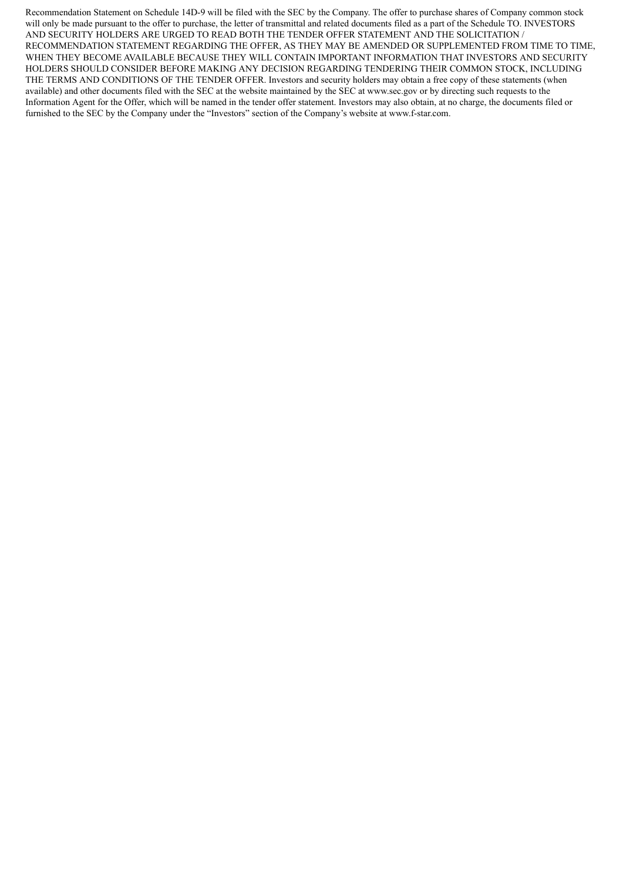Recommendation Statement on Schedule 14D-9 will be filed with the SEC by the Company. The offer to purchase shares of Company common stock will only be made pursuant to the offer to purchase, the letter of transmittal and related documents filed as a part of the Schedule TO. INVESTORS AND SECURITY HOLDERS ARE URGED TO READ BOTH THE TENDER OFFER STATEMENT AND THE SOLICITATION / RECOMMENDATION STATEMENT REGARDING THE OFFER, AS THEY MAY BE AMENDED OR SUPPLEMENTED FROM TIME TO TIME, WHEN THEY BECOME AVAILABLE BECAUSE THEY WILL CONTAIN IMPORTANT INFORMATION THAT INVESTORS AND SECURITY HOLDERS SHOULD CONSIDER BEFORE MAKING ANY DECISION REGARDING TENDERING THEIR COMMON STOCK, INCLUDING THE TERMS AND CONDITIONS OF THE TENDER OFFER. Investors and security holders may obtain a free copy of these statements (when available) and other documents filed with the SEC at the website maintained by the SEC at www.sec.gov or by directing such requests to the Information Agent for the Offer, which will be named in the tender offer statement. Investors may also obtain, at no charge, the documents filed or furnished to the SEC by the Company under the "Investors" section of the Company's website at www.f-star.com.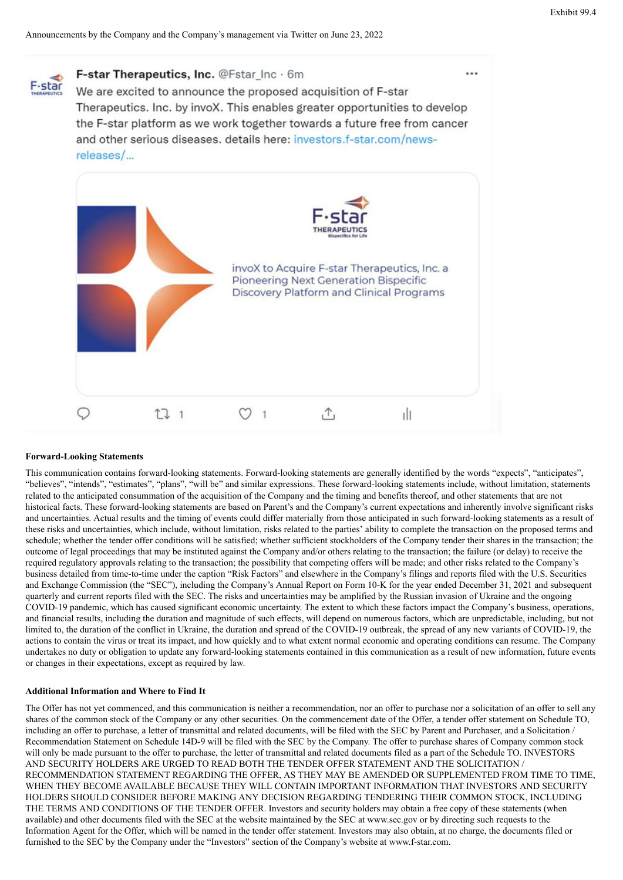Announcements by the Company and the Company's management via Twitter on June 23, 2022



### F-star Therapeutics, Inc. @Fstar\_Inc . 6m

We are excited to announce the proposed acquisition of F-star Therapeutics. Inc. by invoX. This enables greater opportunities to develop the F-star platform as we work together towards a future free from cancer and other serious diseases. details here: investors.f-star.com/newsreleases/...



#### **Forward-Looking Statements**

This communication contains forward-looking statements. Forward-looking statements are generally identified by the words "expects", "anticipates", "believes", "intends", "estimates", "plans", "will be" and similar expressions. These forward-looking statements include, without limitation, statements related to the anticipated consummation of the acquisition of the Company and the timing and benefits thereof, and other statements that are not historical facts. These forward-looking statements are based on Parent's and the Company's current expectations and inherently involve significant risks and uncertainties. Actual results and the timing of events could differ materially from those anticipated in such forward-looking statements as a result of these risks and uncertainties, which include, without limitation, risks related to the parties' ability to complete the transaction on the proposed terms and schedule; whether the tender offer conditions will be satisfied; whether sufficient stockholders of the Company tender their shares in the transaction; the outcome of legal proceedings that may be instituted against the Company and/or others relating to the transaction; the failure (or delay) to receive the required regulatory approvals relating to the transaction; the possibility that competing offers will be made; and other risks related to the Company's business detailed from time-to-time under the caption "Risk Factors" and elsewhere in the Company's filings and reports filed with the U.S. Securities and Exchange Commission (the "SEC"), including the Company's Annual Report on Form 10-K for the year ended December 31, 2021 and subsequent quarterly and current reports filed with the SEC. The risks and uncertainties may be amplified by the Russian invasion of Ukraine and the ongoing COVID-19 pandemic, which has caused significant economic uncertainty. The extent to which these factors impact the Company's business, operations, and financial results, including the duration and magnitude of such effects, will depend on numerous factors, which are unpredictable, including, but not limited to, the duration of the conflict in Ukraine, the duration and spread of the COVID-19 outbreak, the spread of any new variants of COVID-19, the actions to contain the virus or treat its impact, and how quickly and to what extent normal economic and operating conditions can resume. The Company undertakes no duty or obligation to update any forward-looking statements contained in this communication as a result of new information, future events or changes in their expectations, except as required by law.

#### **Additional Information and Where to Find It**

The Offer has not yet commenced, and this communication is neither a recommendation, nor an offer to purchase nor a solicitation of an offer to sell any shares of the common stock of the Company or any other securities. On the commencement date of the Offer, a tender offer statement on Schedule TO, including an offer to purchase, a letter of transmittal and related documents, will be filed with the SEC by Parent and Purchaser, and a Solicitation / Recommendation Statement on Schedule 14D-9 will be filed with the SEC by the Company. The offer to purchase shares of Company common stock will only be made pursuant to the offer to purchase, the letter of transmittal and related documents filed as a part of the Schedule TO. INVESTORS AND SECURITY HOLDERS ARE URGED TO READ BOTH THE TENDER OFFER STATEMENT AND THE SOLICITATION / RECOMMENDATION STATEMENT REGARDING THE OFFER, AS THEY MAY BE AMENDED OR SUPPLEMENTED FROM TIME TO TIME, WHEN THEY BECOME AVAILABLE BECAUSE THEY WILL CONTAIN IMPORTANT INFORMATION THAT INVESTORS AND SECURITY HOLDERS SHOULD CONSIDER BEFORE MAKING ANY DECISION REGARDING TENDERING THEIR COMMON STOCK, INCLUDING THE TERMS AND CONDITIONS OF THE TENDER OFFER. Investors and security holders may obtain a free copy of these statements (when available) and other documents filed with the SEC at the website maintained by the SEC at www.sec.gov or by directing such requests to the Information Agent for the Offer, which will be named in the tender offer statement. Investors may also obtain, at no charge, the documents filed or furnished to the SEC by the Company under the "Investors" section of the Company's website at www.f-star.com.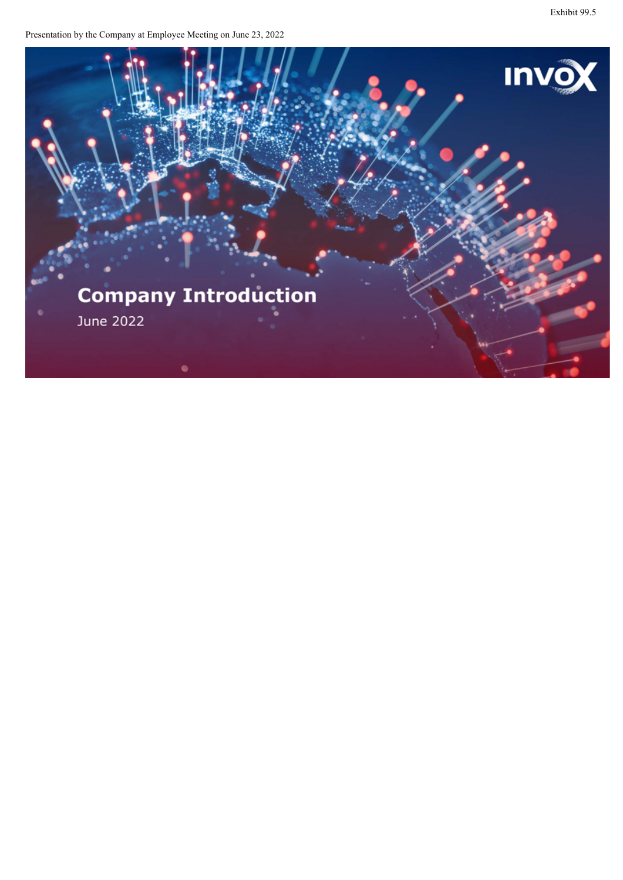Presentation by the Company at Employee Meeting on June 23, 2022

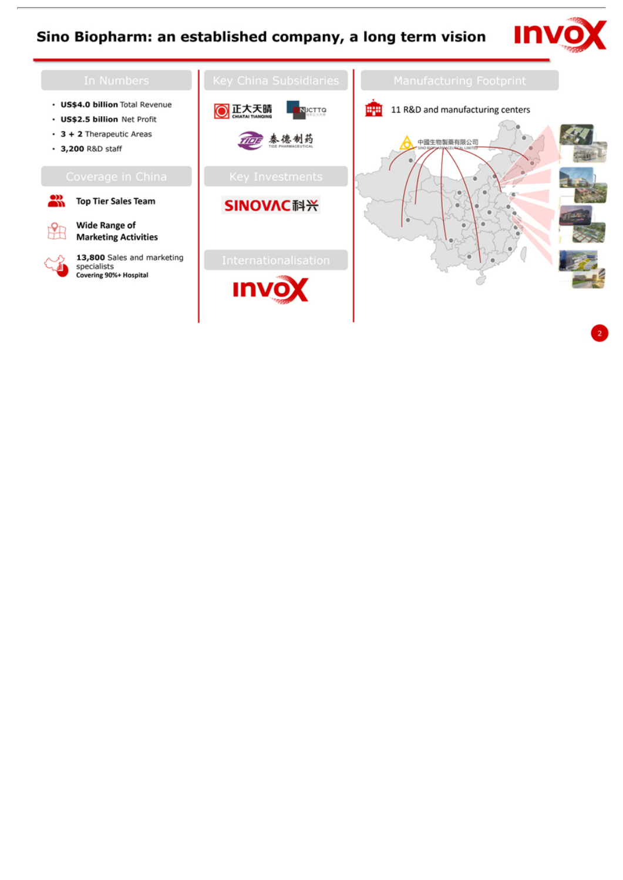### Sino Biopharm: an established company, a long term vision



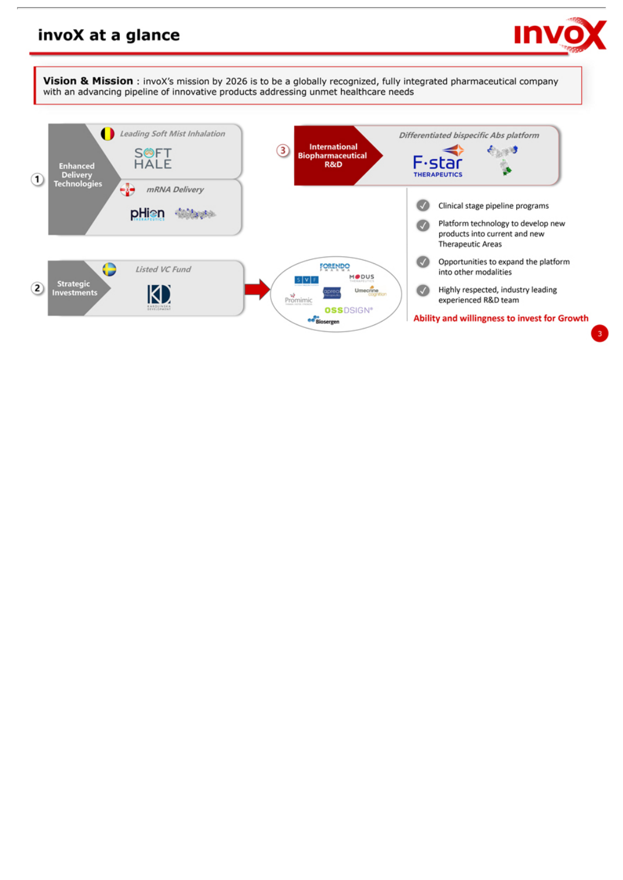## invoX at a glance

Vision & Mission: invoX's mission by 2026 is to be a globally recognized, fully integrated pharmaceutical company with an advancing pipeline of innovative products addressing unmet healthcare needs

 $\mathbf m$